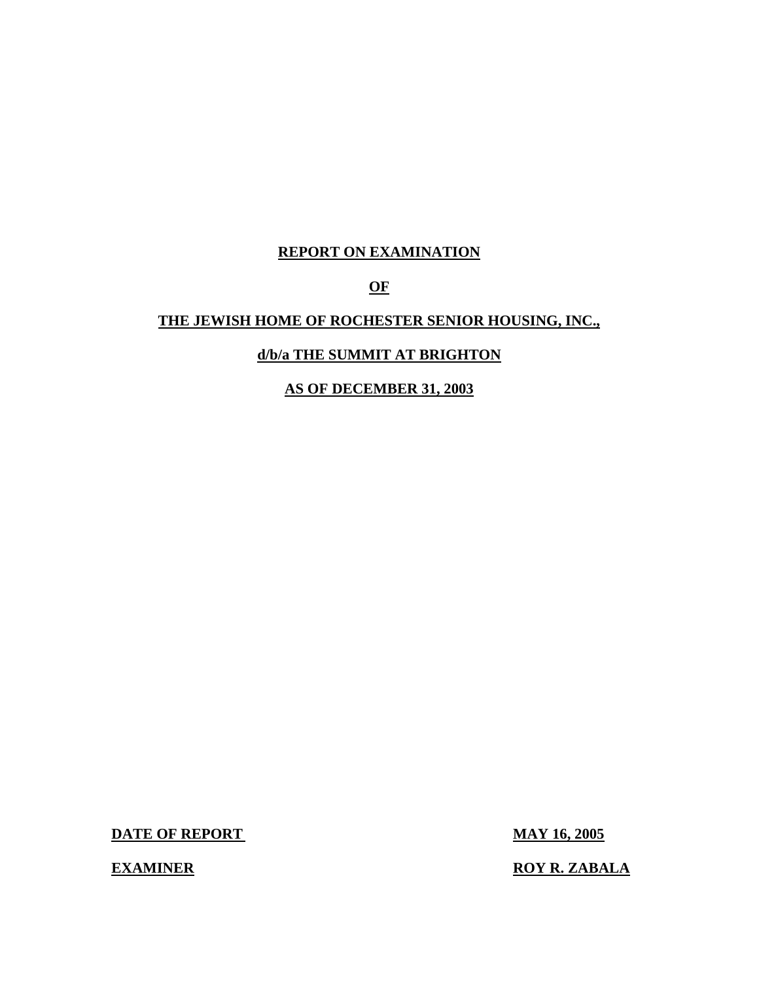## **REPORT ON EXAMINATION**

## **OF**

## **THE JEWISH HOME OF ROCHESTER SENIOR HOUSING, INC.,**

## **d/b/a THE SUMMIT AT BRIGHTON**

## **AS OF DECEMBER 31, 2003**

**DATE OF REPORT MAY 16, 2005** 

**EXAMINER ROY R. ZABALA**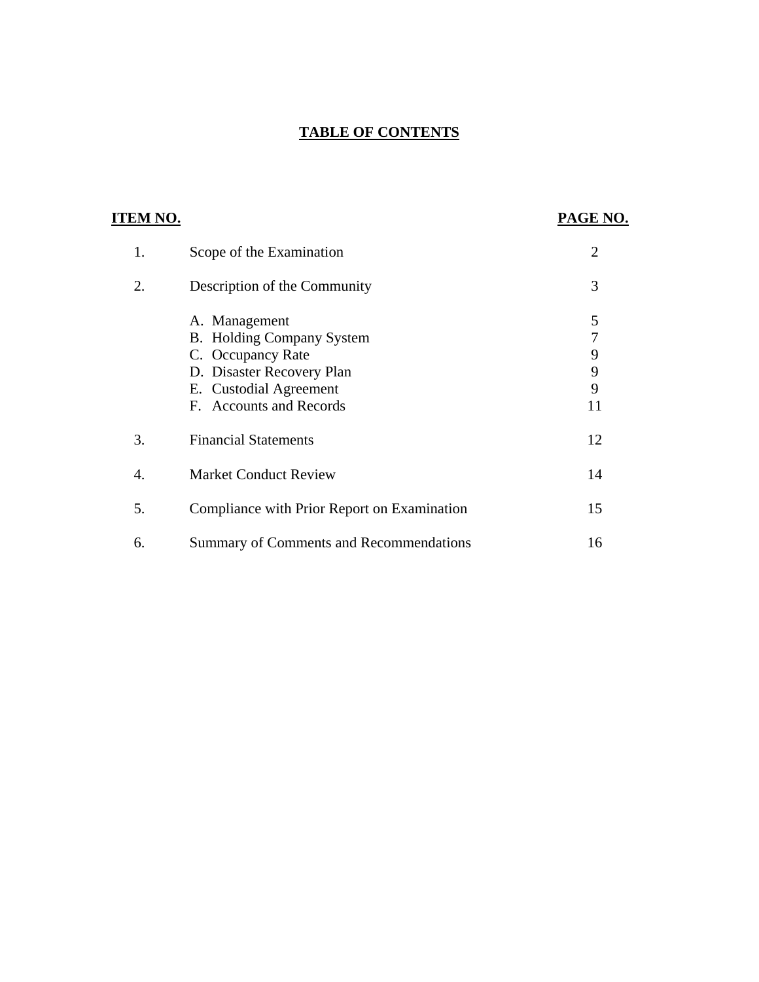## **TABLE OF CONTENTS**

| <b>ITEM NO.</b> |                                                                                                                                                   | PAGE NO.                    |
|-----------------|---------------------------------------------------------------------------------------------------------------------------------------------------|-----------------------------|
| 1.              | Scope of the Examination                                                                                                                          | $\overline{2}$              |
| 2.              | Description of the Community                                                                                                                      | 3                           |
|                 | A. Management<br>B. Holding Company System<br>C. Occupancy Rate<br>D. Disaster Recovery Plan<br>E. Custodial Agreement<br>F. Accounts and Records | 5<br>7<br>9<br>9<br>9<br>11 |
| 3.              | <b>Financial Statements</b>                                                                                                                       | 12                          |
| 4.              | <b>Market Conduct Review</b>                                                                                                                      | 14                          |
| 5.              | Compliance with Prior Report on Examination                                                                                                       | 15                          |
| 6.              | Summary of Comments and Recommendations                                                                                                           | 16                          |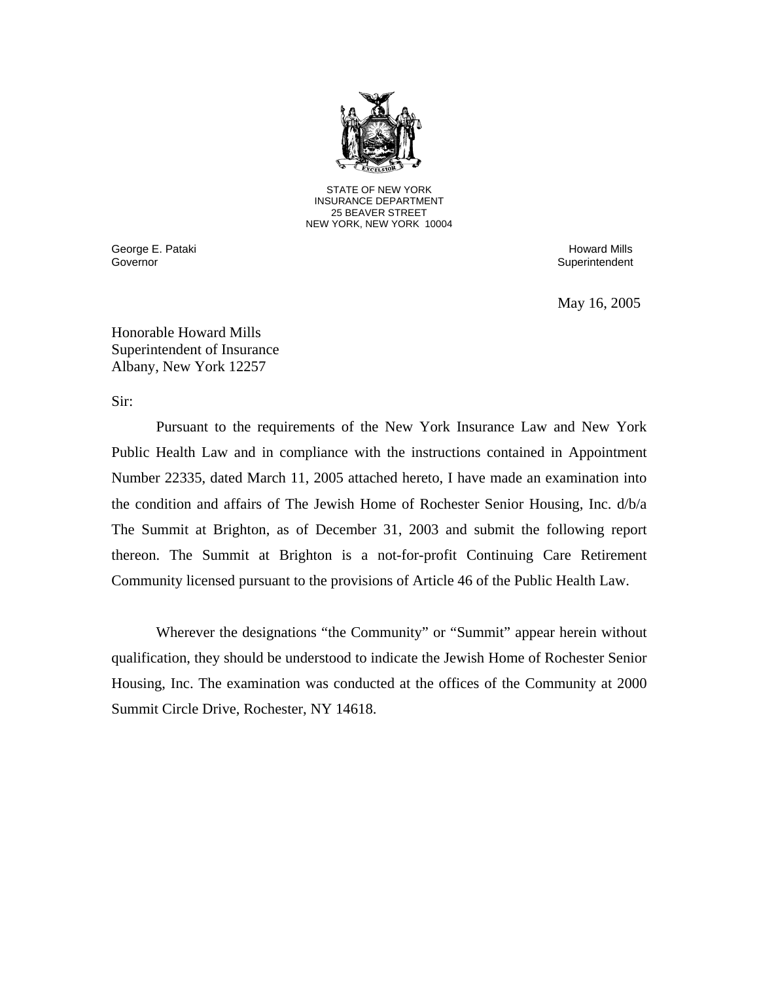

STATE OF NEW YORK INSURANCE DEPARTMENT 25 BEAVER STREET NEW YORK, NEW YORK 10004

Governor George E. Pataki Howard Mills and the Control of the Control of the Control of the Control of the Control of the Control of the Control of the Control of the Control of the Control of the Control of the Control of the Cont

Superintendent

May 16, 2005

Honorable Howard Mills Superintendent of Insurance Albany, New York 12257

Sir:

Pursuant to the requirements of the New York Insurance Law and New York Public Health Law and in compliance with the instructions contained in Appointment Number 22335, dated March 11, 2005 attached hereto, I have made an examination into the condition and affairs of The Jewish Home of Rochester Senior Housing, Inc. d/b/a The Summit at Brighton, as of December 31, 2003 and submit the following report thereon. The Summit at Brighton is a not-for-profit Continuing Care Retirement

 Community licensed pursuant to the provisions of Article 46 of the Public Health Law. Wherever the designations "the Community" or "Summit" appear herein without qualification, they should be understood to indicate the Jewish Home of Rochester Senior Housing, Inc. The examination was conducted at the offices of the Community at 2000 Summit Circle Drive, Rochester, NY 14618.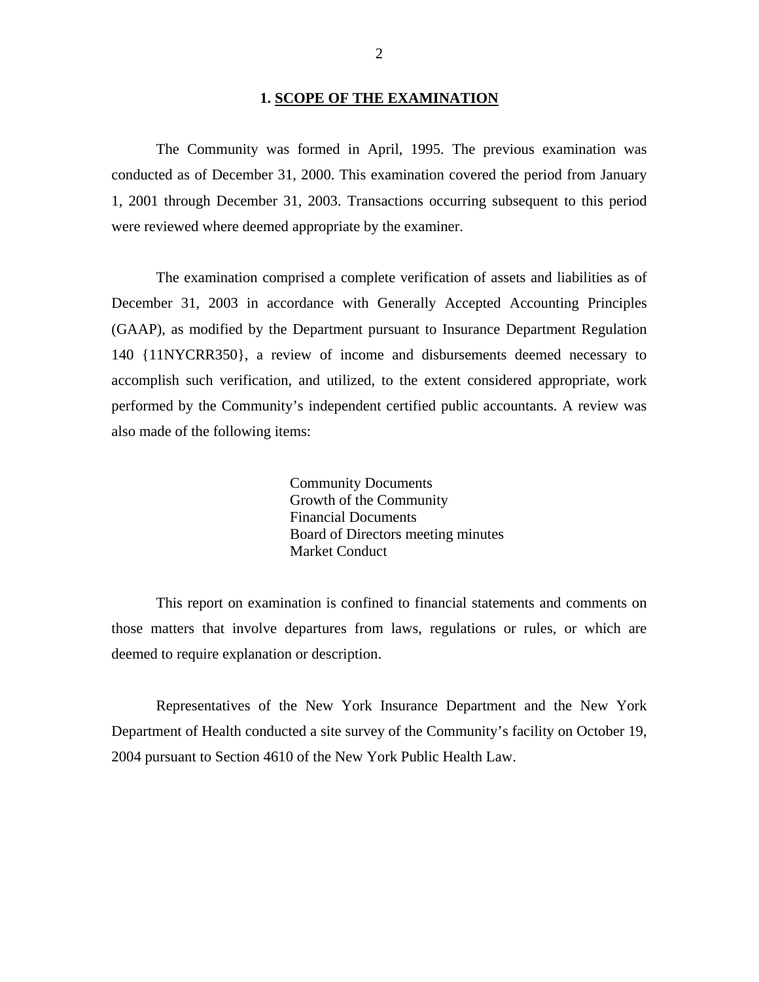#### **1. SCOPE OF THE EXAMINATION**

<span id="page-3-0"></span>The Community was formed in April, 1995. The previous examination was conducted as of December 31, 2000. This examination covered the period from January 1, 2001 through December 31, 2003. Transactions occurring subsequent to this period were reviewed where deemed appropriate by the examiner.

The examination comprised a complete verification of assets and liabilities as of December 31, 2003 in accordance with Generally Accepted Accounting Principles (GAAP), as modified by the Department pursuant to Insurance Department Regulation 140 {11NYCRR350}, a review of income and disbursements deemed necessary to accomplish such verification, and utilized, to the extent considered appropriate, work performed by the Community's independent certified public accountants. A review was also made of the following items:

> Community Documents Growth of the Community Financial Documents Board of Directors meeting minutes Market Conduct

This report on examination is confined to financial statements and comments on those matters that involve departures from laws, regulations or rules, or which are deemed to require explanation or description.

Representatives of the New York Insurance Department and the New York Department of Health conducted a site survey of the Community's facility on October 19, 2004 pursuant to Section 4610 of the New York Public Health Law.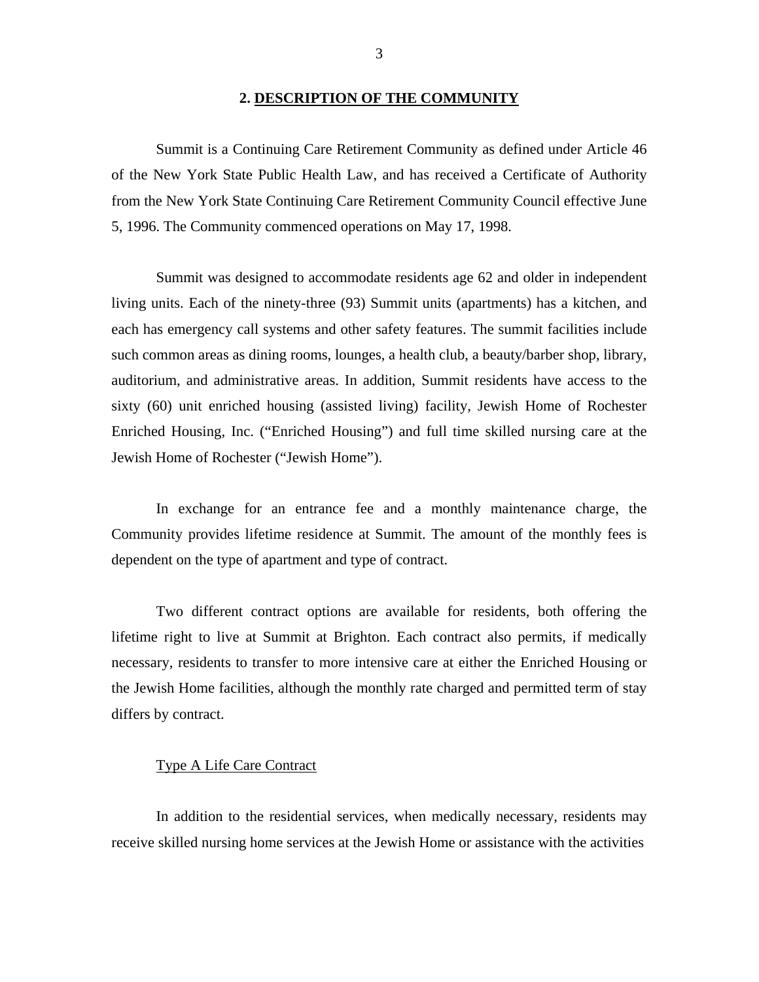#### **2. DESCRIPTION OF THE COMMUNITY**

<span id="page-4-0"></span>Summit is a Continuing Care Retirement Community as defined under Article 46 of the New York State Public Health Law, and has received a Certificate of Authority from the New York State Continuing Care Retirement Community Council effective June 5, 1996. The Community commenced operations on May 17, 1998.

Summit was designed to accommodate residents age 62 and older in independent living units. Each of the ninety-three (93) Summit units (apartments) has a kitchen, and each has emergency call systems and other safety features. The summit facilities include such common areas as dining rooms, lounges, a health club, a beauty/barber shop, library, auditorium, and administrative areas. In addition, Summit residents have access to the sixty (60) unit enriched housing (assisted living) facility, Jewish Home of Rochester Enriched Housing, Inc. ("Enriched Housing") and full time skilled nursing care at the Jewish Home of Rochester ("Jewish Home").

In exchange for an entrance fee and a monthly maintenance charge, the Community provides lifetime residence at Summit. The amount of the monthly fees is dependent on the type of apartment and type of contract.

Two different contract options are available for residents, both offering the lifetime right to live at Summit at Brighton. Each contract also permits, if medically necessary, residents to transfer to more intensive care at either the Enriched Housing or the Jewish Home facilities, although the monthly rate charged and permitted term of stay differs by contract.

#### Type A Life Care Contract

In addition to the residential services, when medically necessary, residents may receive skilled nursing home services at the Jewish Home or assistance with the activities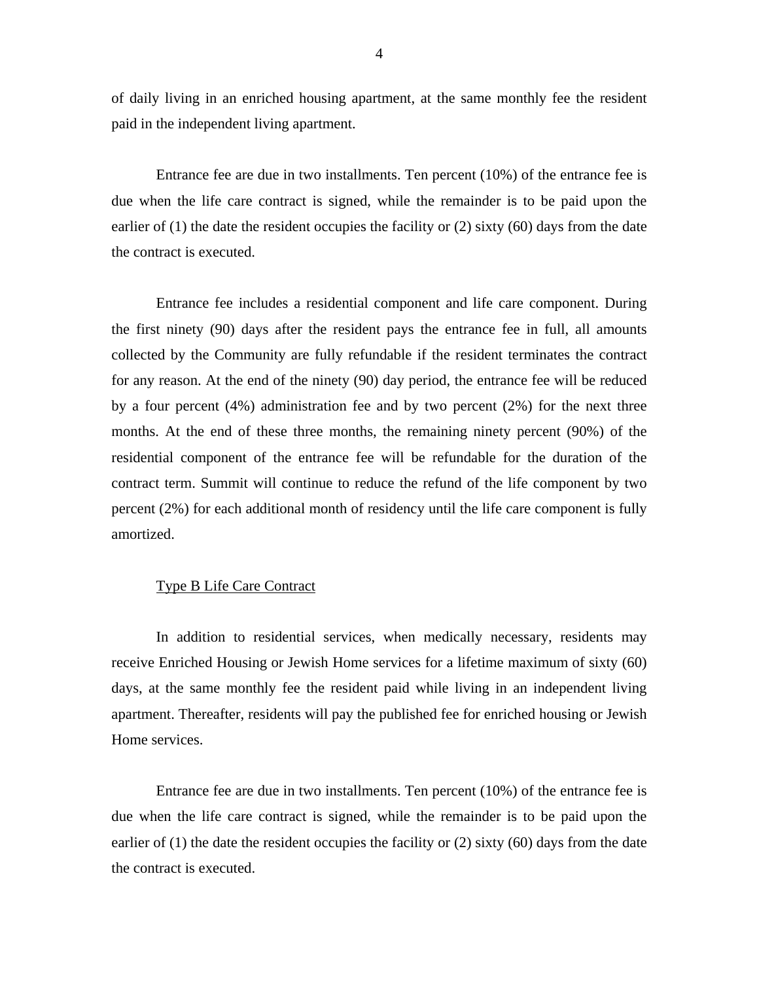of daily living in an enriched housing apartment, at the same monthly fee the resident paid in the independent living apartment.

Entrance fee are due in two installments. Ten percent (10%) of the entrance fee is due when the life care contract is signed, while the remainder is to be paid upon the earlier of (1) the date the resident occupies the facility or (2) sixty (60) days from the date the contract is executed.

Entrance fee includes a residential component and life care component. During the first ninety (90) days after the resident pays the entrance fee in full, all amounts collected by the Community are fully refundable if the resident terminates the contract for any reason. At the end of the ninety (90) day period, the entrance fee will be reduced by a four percent (4%) administration fee and by two percent (2%) for the next three months. At the end of these three months, the remaining ninety percent (90%) of the residential component of the entrance fee will be refundable for the duration of the contract term. Summit will continue to reduce the refund of the life component by two percent (2%) for each additional month of residency until the life care component is fully amortized.

#### Type B Life Care Contract

In addition to residential services, when medically necessary, residents may receive Enriched Housing or Jewish Home services for a lifetime maximum of sixty (60) days, at the same monthly fee the resident paid while living in an independent living apartment. Thereafter, residents will pay the published fee for enriched housing or Jewish Home services.

Entrance fee are due in two installments. Ten percent (10%) of the entrance fee is due when the life care contract is signed, while the remainder is to be paid upon the earlier of (1) the date the resident occupies the facility or (2) sixty (60) days from the date the contract is executed.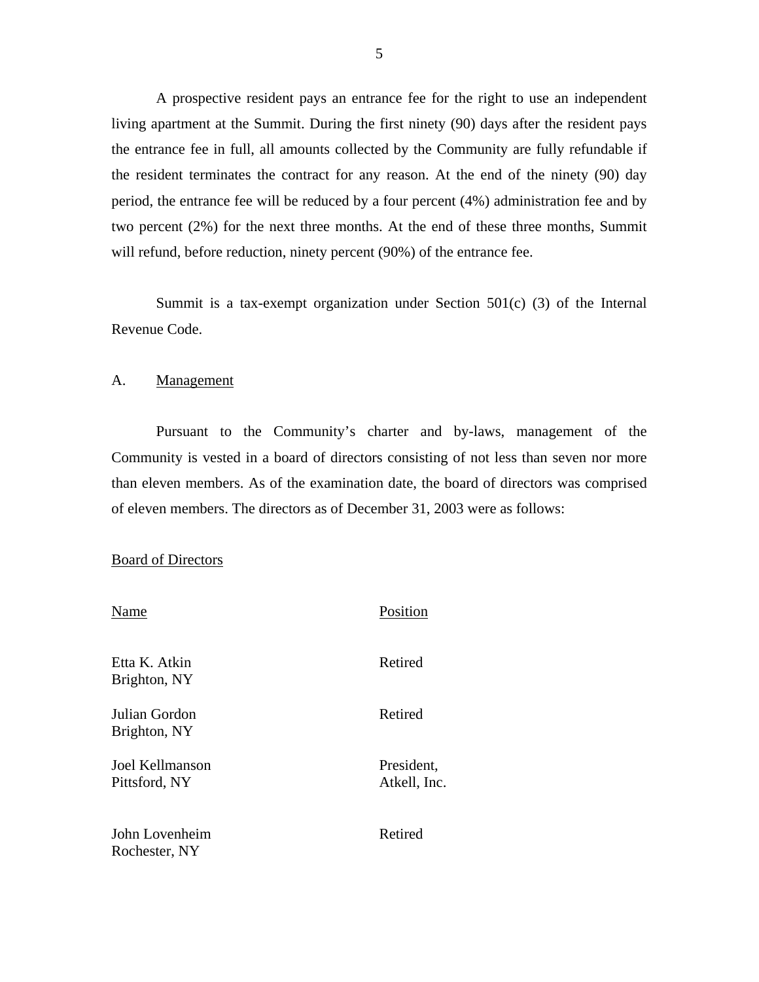<span id="page-6-0"></span>A prospective resident pays an entrance fee for the right to use an independent living apartment at the Summit. During the first ninety (90) days after the resident pays the entrance fee in full, all amounts collected by the Community are fully refundable if the resident terminates the contract for any reason. At the end of the ninety (90) day period, the entrance fee will be reduced by a four percent (4%) administration fee and by two percent (2%) for the next three months. At the end of these three months, Summit will refund, before reduction, ninety percent (90%) of the entrance fee.

Summit is a tax-exempt organization under Section  $501(c)$  (3) of the Internal Revenue Code.

A. Management

Pursuant to the Community's charter and by-laws, management of the Community is vested in a board of directors consisting of not less than seven nor more than eleven members. As of the examination date, the board of directors was comprised of eleven members. The directors as of December 31, 2003 were as follows:

Board of Directors

| Name                             | Position                   |
|----------------------------------|----------------------------|
| Etta K. Atkin<br>Brighton, NY    | Retired                    |
| Julian Gordon<br>Brighton, NY    | Retired                    |
| Joel Kellmanson<br>Pittsford, NY | President,<br>Atkell, Inc. |
| John Lovenheim<br>Rochester, NY  | Retired                    |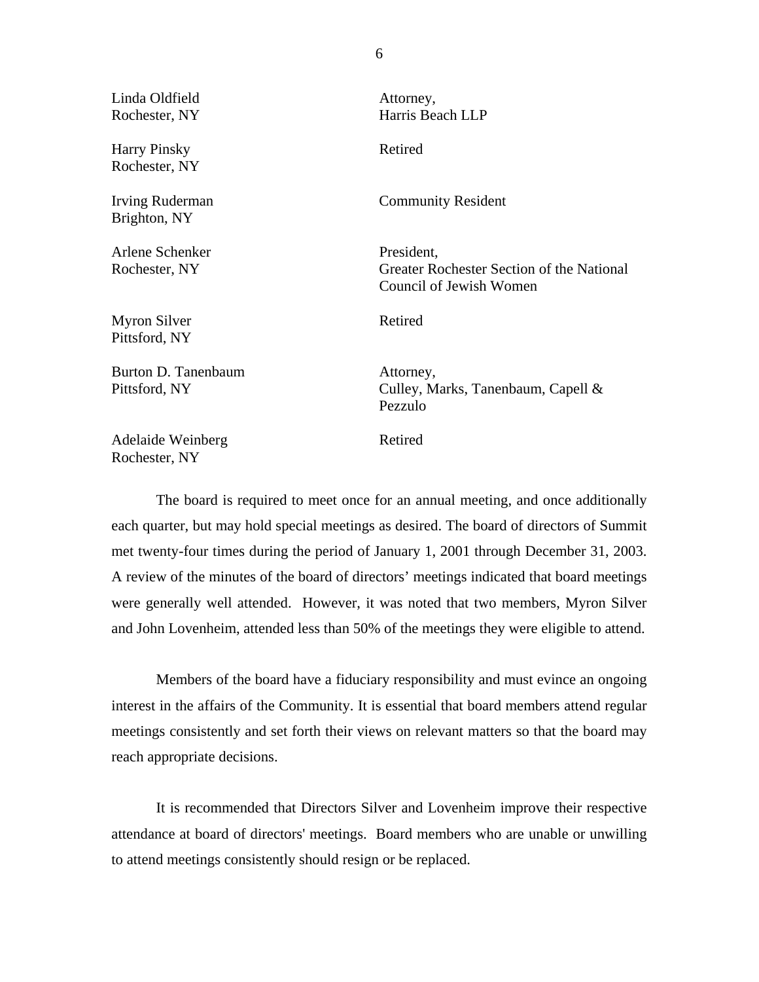Linda Oldfield Attorney,

Harry Pinsky **Retired** Rochester, NY

Brighton, NY

Arlene Schenker President,

Pittsford, NY Myron Silver Retired

Pittsford, NY **Philosophy** Burton D. Tanenbaum **Attorney**,

Adelaide Weinberg Retired Rochester, NY

Rochester, NY Harris Beach LLP

Irving Ruderman Community Resident

Rochester, NY Greater Rochester Section of the National Council of Jewish Women

Culley, Marks, Tanenbaum, Capell  $&$ Pezzulo

The board is required to meet once for an annual meeting, and once additionally each quarter, but may hold special meetings as desired. The board of directors of Summit met twenty-four times during the period of January 1, 2001 through December 31, 2003. A review of the minutes of the board of directors' meetings indicated that board meetings were generally well attended. However, it was noted that two members, Myron Silver and John Lovenheim, attended less than 50% of the meetings they were eligible to attend.

Members of the board have a fiduciary responsibility and must evince an ongoing interest in the affairs of the Community. It is essential that board members attend regular meetings consistently and set forth their views on relevant matters so that the board may reach appropriate decisions.

It is recommended that Directors Silver and Lovenheim improve their respective attendance at board of directors' meetings. Board members who are unable or unwilling to attend meetings consistently should resign or be replaced.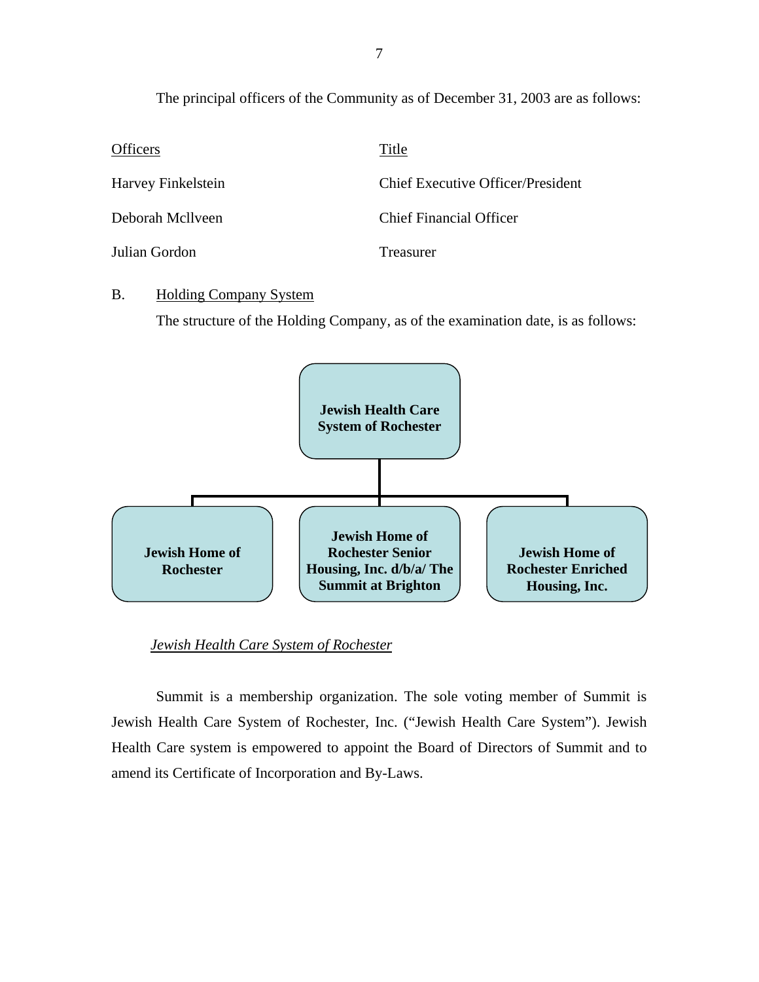The principal officers of the Community as of December 31, 2003 are as follows:

| <b>Officers</b>    | Title                             |
|--------------------|-----------------------------------|
| Harvey Finkelstein | Chief Executive Officer/President |
| Deborah McIlveen   | <b>Chief Financial Officer</b>    |
| Julian Gordon      | Treasurer                         |

### B. Holding Company System

The structure of the Holding Company, as of the examination date, is as follows:



#### *Jewish Health Care System of Rochester*

Summit is a membership organization. The sole voting member of Summit is Jewish Health Care System of Rochester, Inc. ("Jewish Health Care System"). Jewish Health Care system is empowered to appoint the Board of Directors of Summit and to amend its Certificate of Incorporation and By-Laws.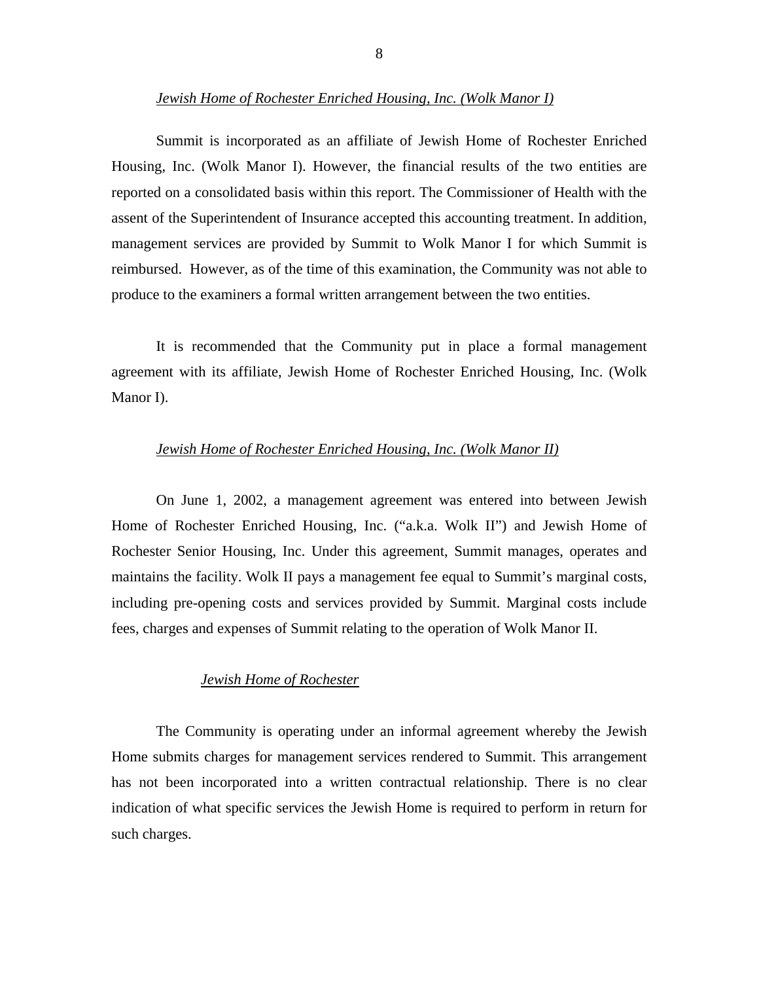#### *Jewish Home of Rochester Enriched Housing, Inc. (Wolk Manor I)*

Summit is incorporated as an affiliate of Jewish Home of Rochester Enriched Housing, Inc. (Wolk Manor I). However, the financial results of the two entities are reported on a consolidated basis within this report. The Commissioner of Health with the assent of the Superintendent of Insurance accepted this accounting treatment. In addition, management services are provided by Summit to Wolk Manor I for which Summit is reimbursed. However, as of the time of this examination, the Community was not able to produce to the examiners a formal written arrangement between the two entities.

It is recommended that the Community put in place a formal management agreement with its affiliate, Jewish Home of Rochester Enriched Housing, Inc. (Wolk Manor I).

#### *Jewish Home of Rochester Enriched Housing, Inc. (Wolk Manor II)*

On June 1, 2002, a management agreement was entered into between Jewish Home of Rochester Enriched Housing, Inc. ("a.k.a. Wolk II") and Jewish Home of Rochester Senior Housing, Inc. Under this agreement, Summit manages, operates and maintains the facility. Wolk II pays a management fee equal to Summit's marginal costs, including pre-opening costs and services provided by Summit. Marginal costs include fees, charges and expenses of Summit relating to the operation of Wolk Manor II.

#### *Jewish Home of Rochester*

The Community is operating under an informal agreement whereby the Jewish Home submits charges for management services rendered to Summit. This arrangement has not been incorporated into a written contractual relationship. There is no clear indication of what specific services the Jewish Home is required to perform in return for such charges.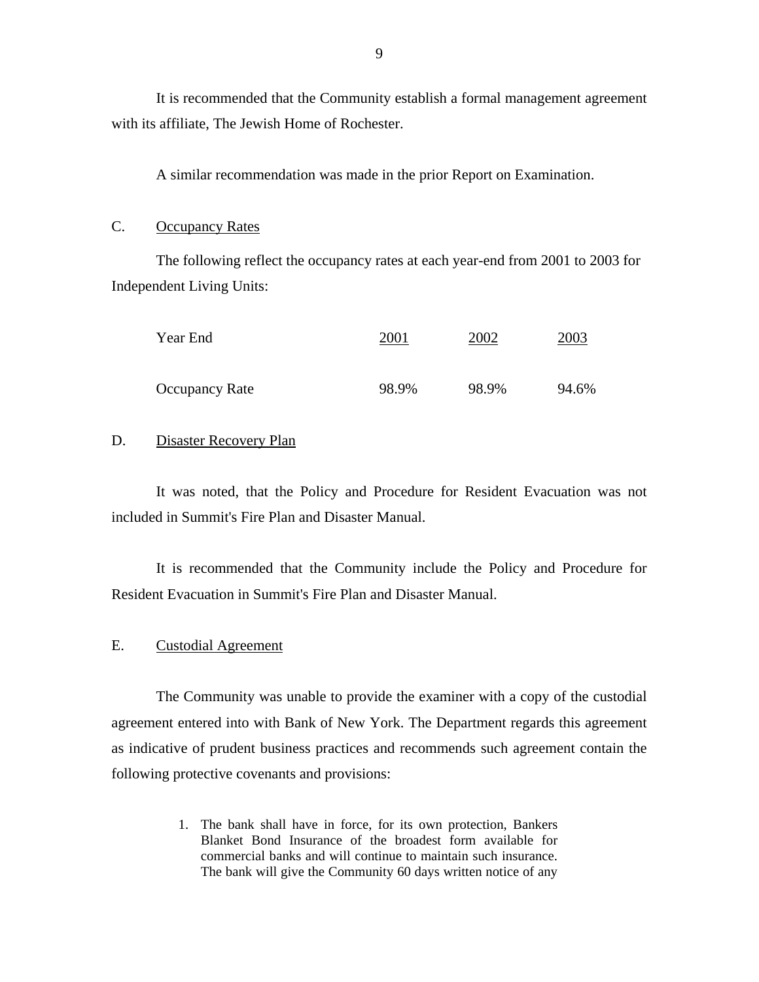<span id="page-10-0"></span>with its affiliate. The Jewish Home of Rochester. It is recommended that the Community establish a formal management agreement

A similar recommendation was made in the prior Report on Examination.

#### C. Occupancy Rates

The following reflect the occupancy rates at each year-end from 2001 to 2003 for Independent Living Units:

| Year End       | 2001  | 2002  | 2003  |
|----------------|-------|-------|-------|
| Occupancy Rate | 98.9% | 98.9% | 94.6% |

#### D. Disaster Recovery Plan

It was noted, that the Policy and Procedure for Resident Evacuation was not included in Summit's Fire Plan and Disaster Manual.

It is recommended that the Community include the Policy and Procedure for Resident Evacuation in Summit's Fire Plan and Disaster Manual.

#### E. Custodial Agreement

The Community was unable to provide the examiner with a copy of the custodial agreement entered into with Bank of New York. The Department regards this agreement as indicative of prudent business practices and recommends such agreement contain the following protective covenants and provisions:

> commercial banks and will continue to maintain such insurance. 1. The bank shall have in force, for its own protection, Bankers Blanket Bond Insurance of the broadest form available for The bank will give the Community 60 days written notice of any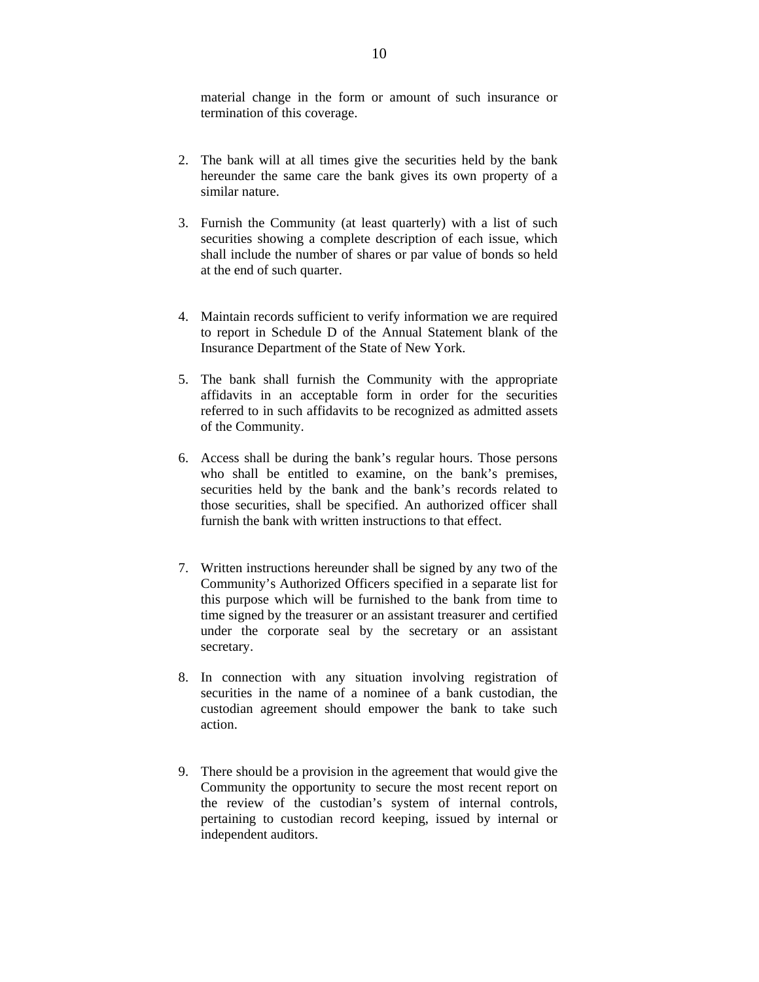material change in the form or amount of such insurance or termination of this coverage.

- 2. The bank will at all times give the securities held by the bank hereunder the same care the bank gives its own property of a similar nature.
- 3. Furnish the Community (at least quarterly) with a list of such securities showing a complete description of each issue, which shall include the number of shares or par value of bonds so held at the end of such quarter.
- 4. Maintain records sufficient to verify information we are required to report in Schedule D of the Annual Statement blank of the Insurance Department of the State of New York.
- 5. The bank shall furnish the Community with the appropriate affidavits in an acceptable form in order for the securities referred to in such affidavits to be recognized as admitted assets of the Community.
- 6. Access shall be during the bank's regular hours. Those persons who shall be entitled to examine, on the bank's premises, securities held by the bank and the bank's records related to those securities, shall be specified. An authorized officer shall furnish the bank with written instructions to that effect.
- 7. Written instructions hereunder shall be signed by any two of the Community's Authorized Officers specified in a separate list for this purpose which will be furnished to the bank from time to time signed by the treasurer or an assistant treasurer and certified under the corporate seal by the secretary or an assistant secretary.
- 8. In connection with any situation involving registration of securities in the name of a nominee of a bank custodian, the custodian agreement should empower the bank to take such action.
- 9. There should be a provision in the agreement that would give the Community the opportunity to secure the most recent report on the review of the custodian's system of internal controls, pertaining to custodian record keeping, issued by internal or independent auditors.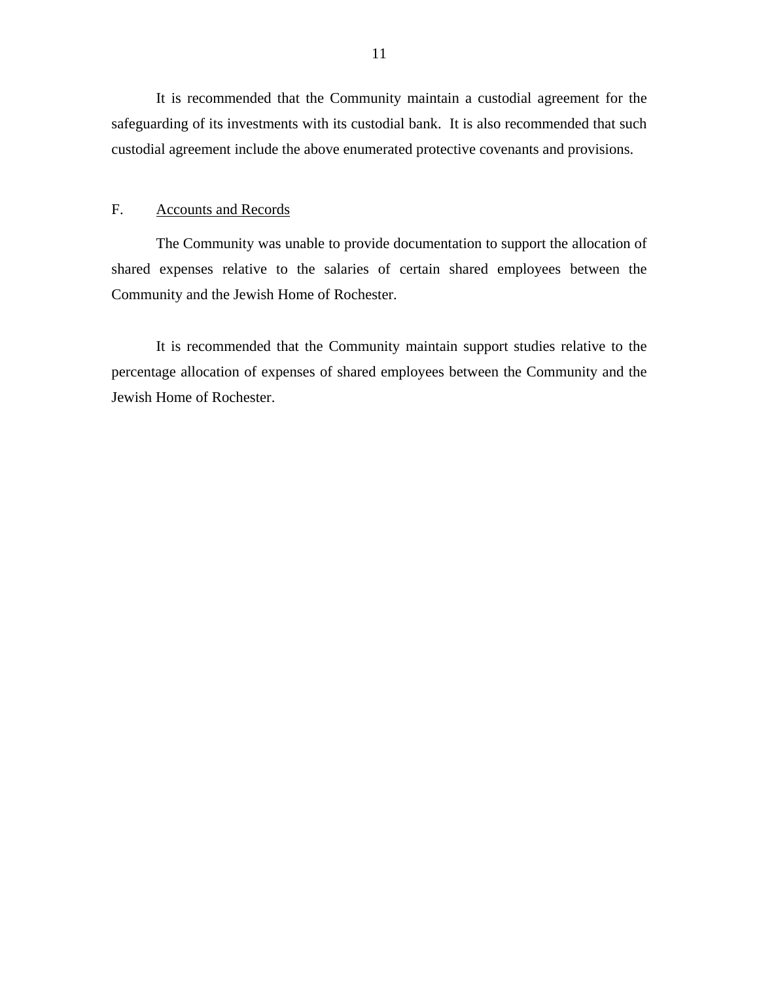<span id="page-12-0"></span>It is recommended that the Community maintain a custodial agreement for the safeguarding of its investments with its custodial bank. It is also recommended that such custodial agreement include the above enumerated protective covenants and provisions.

#### F. Accounts and Records

The Community was unable to provide documentation to support the allocation of shared expenses relative to the salaries of certain shared employees between the Community and the Jewish Home of Rochester.

It is recommended that the Community maintain support studies relative to the percentage allocation of expenses of shared employees between the Community and the Jewish Home of Rochester.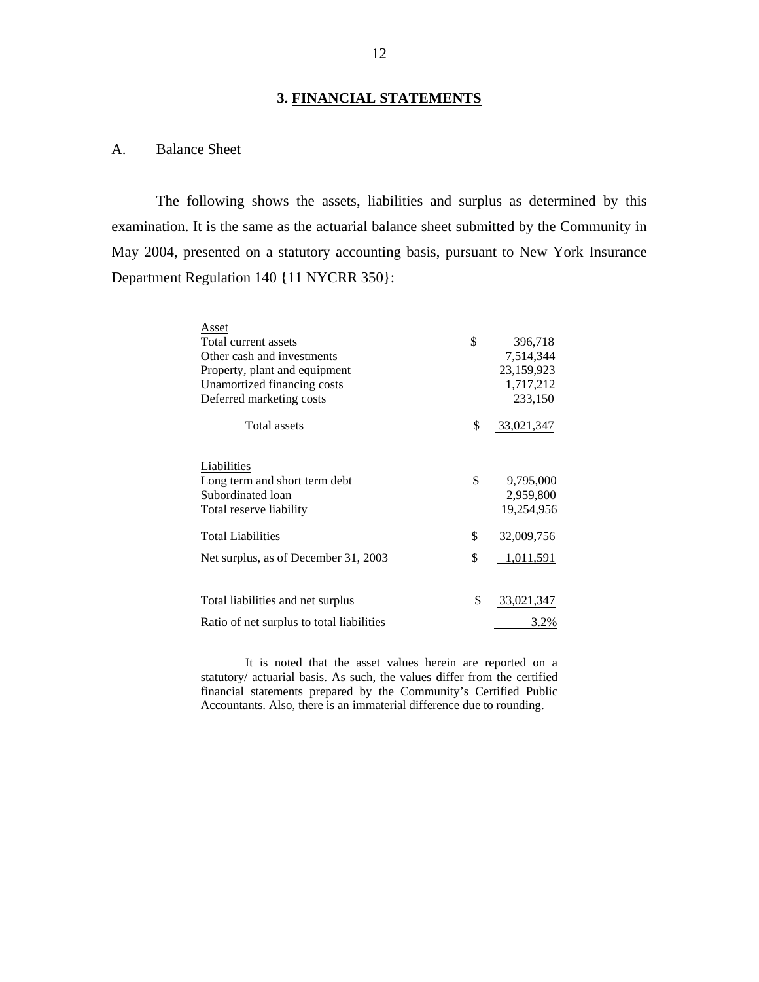## **3. FINANCIAL STATEMENTS**

## A. Balance Sheet

The following shows the assets, liabilities and surplus as determined by this examination. It is the same as the actuarial balance sheet submitted by the Community in May 2004, presented on a statutory accounting basis, pursuant to New York Insurance Department Regulation 140 {11 NYCRR 350}:

| Asset                                     |                  |
|-------------------------------------------|------------------|
| Total current assets                      | \$<br>396,718    |
| Other cash and investments                | 7,514,344        |
| Property, plant and equipment             | 23,159,923       |
| Unamortized financing costs               | 1,717,212        |
| Deferred marketing costs                  | 233,150          |
| <b>Total assets</b>                       | \$<br>33,021,347 |
| Liabilities                               |                  |
| Long term and short term debt             | \$<br>9,795,000  |
| Subordinated loan                         | 2,959,800        |
| Total reserve liability                   | 19,254,956       |
| <b>Total Liabilities</b>                  | \$<br>32,009,756 |
| Net surplus, as of December 31, 2003      | \$<br>1,011,591  |
|                                           |                  |
| Total liabilities and net surplus         | \$<br>33,021,347 |
| Ratio of net surplus to total liabilities | 3.2%             |

 Accountants. Also, there is an immaterial difference due to rounding. It is noted that the asset values herein are reported on a statutory/ actuarial basis. As such, the values differ from the certified financial statements prepared by the Community's Certified Public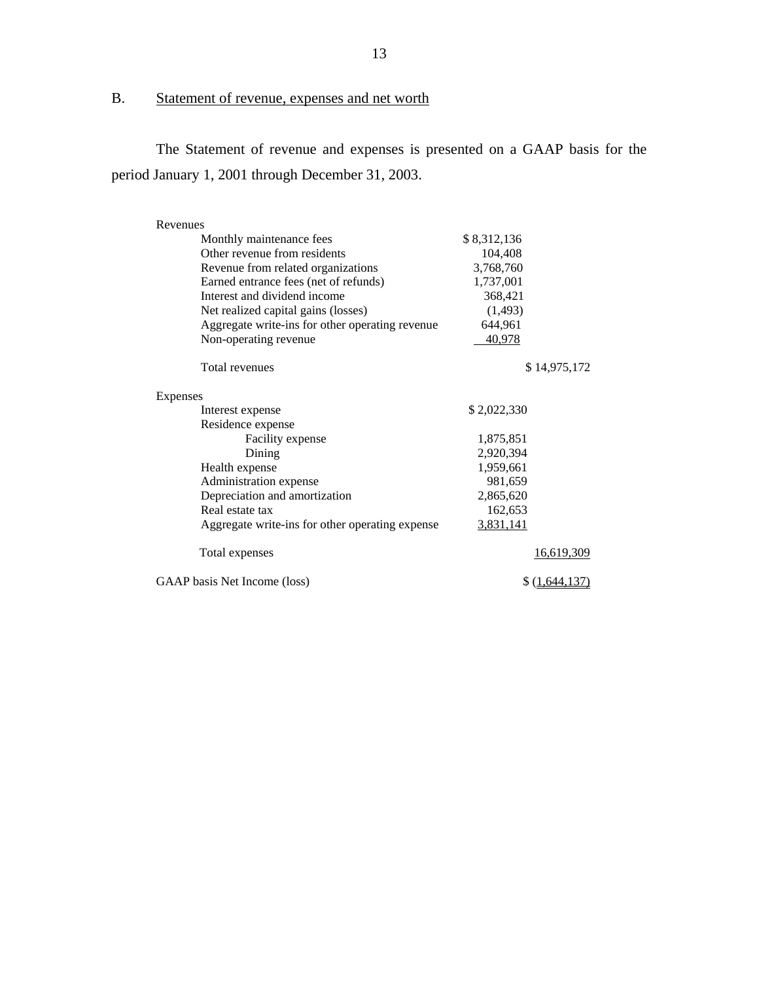# B. Statement of revenue, expenses and net worth

The Statement of revenue and expenses is presented on a GAAP basis for the period January 1, 2001 through December 31, 2003.

| Revenues                                        |                   |  |  |
|-------------------------------------------------|-------------------|--|--|
| Monthly maintenance fees                        | \$8,312,136       |  |  |
| Other revenue from residents                    | 104,408           |  |  |
| Revenue from related organizations              | 3,768,760         |  |  |
| Earned entrance fees (net of refunds)           | 1,737,001         |  |  |
| Interest and dividend income                    | 368,421           |  |  |
| Net realized capital gains (losses)             | (1, 493)          |  |  |
| Aggregate write-ins for other operating revenue | 644,961           |  |  |
| Non-operating revenue                           | 40,978            |  |  |
| Total revenues                                  | \$14,975,172      |  |  |
| Expenses                                        |                   |  |  |
| Interest expense                                | \$2,022,330       |  |  |
| Residence expense                               |                   |  |  |
| Facility expense                                | 1,875,851         |  |  |
| Dining                                          | 2,920,394         |  |  |
| Health expense                                  | 1,959,661         |  |  |
| Administration expense                          | 981,659           |  |  |
| Depreciation and amortization                   | 2,865,620         |  |  |
| Real estate tax                                 | 162,653           |  |  |
| Aggregate write-ins for other operating expense | 3,831,141         |  |  |
| Total expenses                                  | <u>16,619,309</u> |  |  |
| GAAP basis Net Income (loss)                    | \$(1,644,137)     |  |  |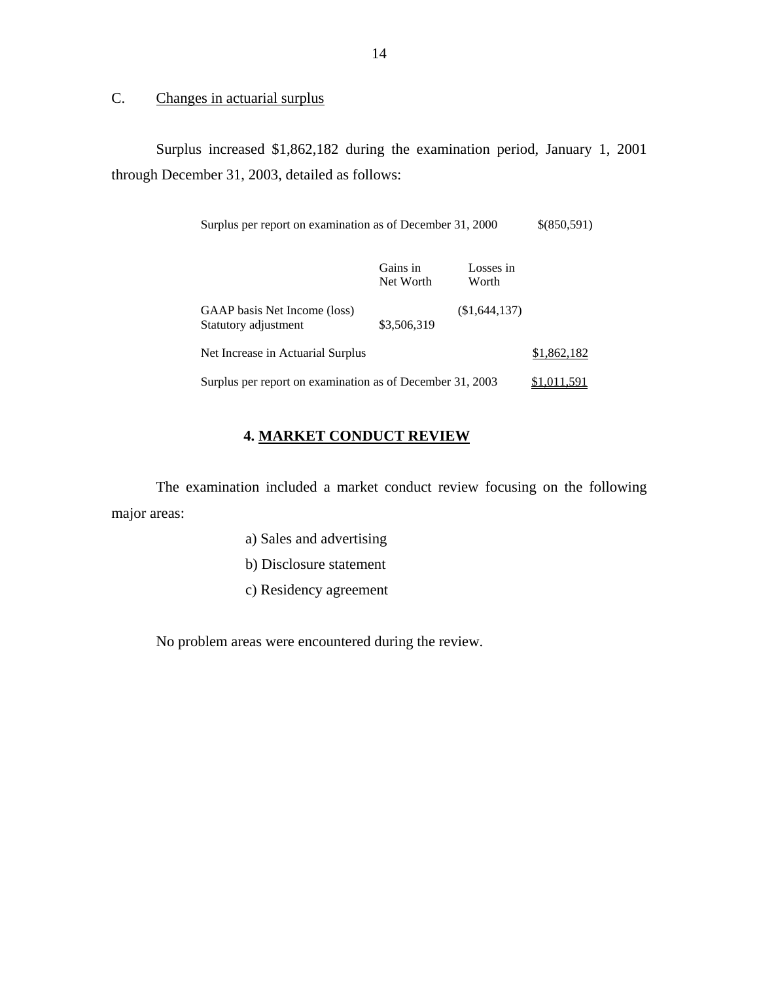C. Changes in actuarial surplus

Surplus increased \$1,862,182 during the examination period, January 1, 2001 through December 31, 2003, detailed as follows:

| Surplus per report on examination as of December 31, 2000 | \$(850,591) |
|-----------------------------------------------------------|-------------|
|-----------------------------------------------------------|-------------|

|                                                           | Gains in<br>Net Worth | Losses in<br>Worth |             |
|-----------------------------------------------------------|-----------------------|--------------------|-------------|
| GAAP basis Net Income (loss)<br>Statutory adjustment      | \$3,506,319           | (\$1,644,137)      |             |
| Net Increase in Actuarial Surplus                         |                       |                    | \$1,862,182 |
| Surplus per report on examination as of December 31, 2003 |                       |                    | \$1,011,591 |

## **4. MARKET CONDUCT REVIEW**

The examination included a market conduct review focusing on the following major areas:

- a) Sales and advertising
- b) Disclosure statement
- c) Residency agreement

No problem areas were encountered during the review.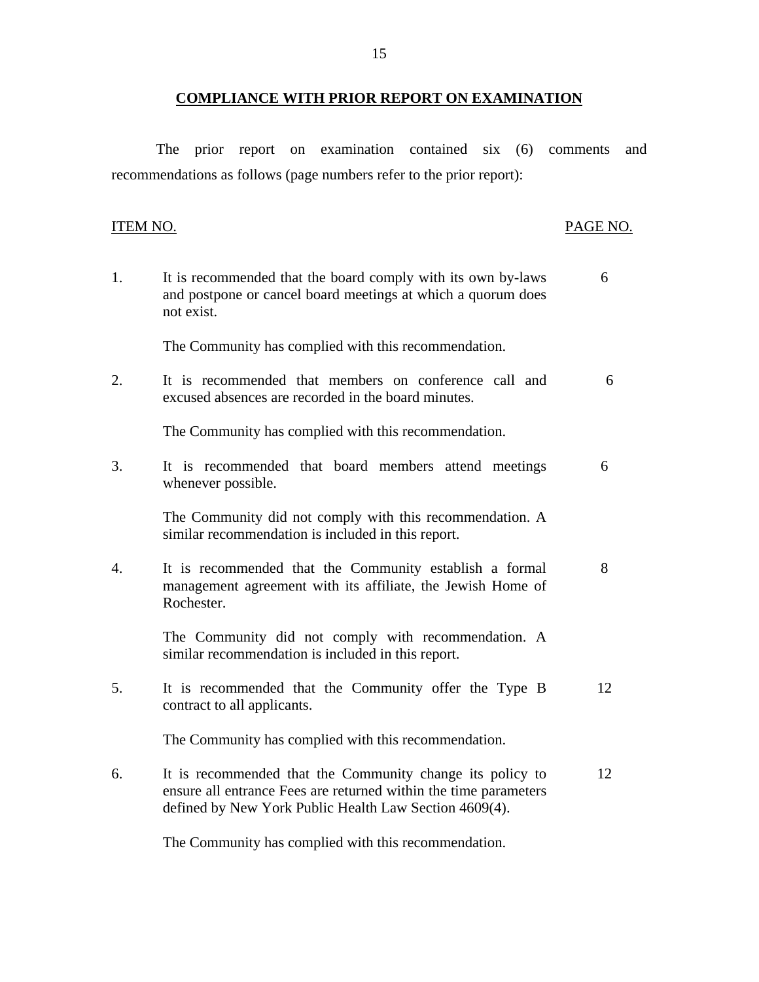## **COMPLIANCE WITH PRIOR REPORT ON EXAMINATION**

<span id="page-16-0"></span>The prior report on examination contained six (6) comments and recommendations as follows (page numbers refer to the prior report):

## PAGE NO.

| 1. | It is recommended that the board comply with its own by-laws<br>and postpone or cancel board meetings at which a quorum does<br>not exist.                                              | 6  |
|----|-----------------------------------------------------------------------------------------------------------------------------------------------------------------------------------------|----|
|    | The Community has complied with this recommendation.                                                                                                                                    |    |
| 2. | It is recommended that members on conference call and<br>excused absences are recorded in the board minutes.                                                                            | 6  |
|    | The Community has complied with this recommendation.                                                                                                                                    |    |
| 3. | It is recommended that board members attend meetings<br>whenever possible.                                                                                                              | 6  |
|    | The Community did not comply with this recommendation. A<br>similar recommendation is included in this report.                                                                          |    |
| 4. | It is recommended that the Community establish a formal<br>management agreement with its affiliate, the Jewish Home of<br>Rochester.                                                    | 8  |
|    | The Community did not comply with recommendation. A<br>similar recommendation is included in this report.                                                                               |    |
| 5. | It is recommended that the Community offer the Type B<br>contract to all applicants.                                                                                                    | 12 |
|    | The Community has complied with this recommendation.                                                                                                                                    |    |
| 6. | It is recommended that the Community change its policy to<br>ensure all entrance Fees are returned within the time parameters<br>defined by New York Public Health Law Section 4609(4). | 12 |

The Community has complied with this recommendation.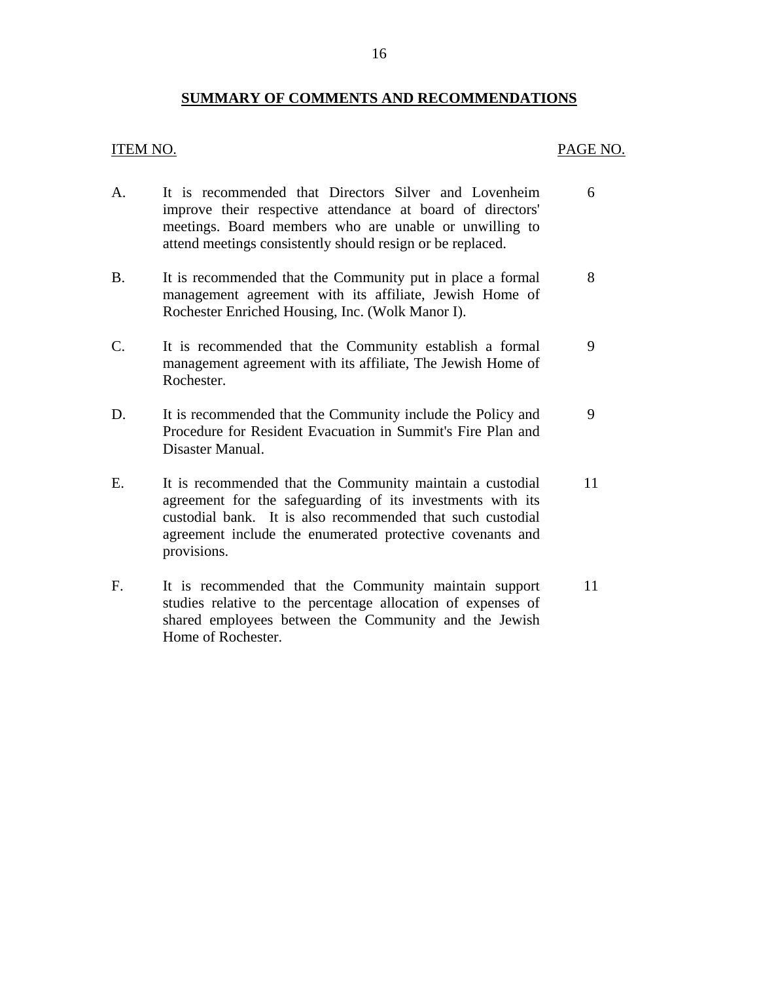## **SUMMARY OF COMMENTS AND RECOMMENDATIONS**

provisions.

#### <span id="page-17-0"></span>ITEM NO. PAGE NO.

| A.        | It is recommended that Directors Silver and Lovenheim<br>improve their respective attendance at board of directors'<br>meetings. Board members who are unable or unwilling to<br>attend meetings consistently should resign or be replaced.        | 6  |
|-----------|----------------------------------------------------------------------------------------------------------------------------------------------------------------------------------------------------------------------------------------------------|----|
| <b>B.</b> | It is recommended that the Community put in place a formal<br>management agreement with its affiliate, Jewish Home of<br>Rochester Enriched Housing, Inc. (Wolk Manor I).                                                                          | 8  |
| C.        | It is recommended that the Community establish a formal<br>management agreement with its affiliate, The Jewish Home of<br>Rochester.                                                                                                               | 9  |
| D.        | It is recommended that the Community include the Policy and<br>Procedure for Resident Evacuation in Summit's Fire Plan and<br>Disaster Manual.                                                                                                     | 9  |
| Е.        | It is recommended that the Community maintain a custodial<br>agreement for the safeguarding of its investments with its<br>custodial bank. It is also recommended that such custodial<br>agreement include the enumerated protective covenants and | 11 |

F. It is recommended that the Community maintain support 11 studies relative to the percentage allocation of expenses of shared employees between the Community and the Jewish Home of Rochester.